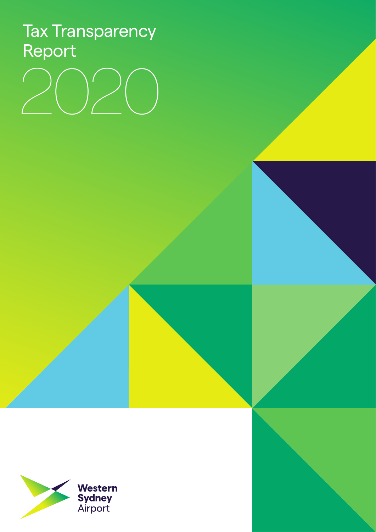# Tax Transparency Report

# 2020

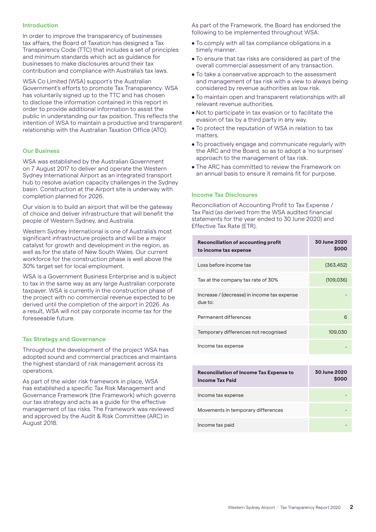# **Introduction**

In order to improve the transparency of businesses tax affairs, the Board of Taxation has designed a Tax Transparency Code (TTC) that includes a set of principles and minimum standards which act as guidance for businesses to make disclosures around their tax contribution and compliance with Australia's tax laws.

WSA Co Limited (WSA) support's the Australian Government's efforts to promote Tax Transparency. WSA has voluntarily signed up to the TTC and has chosen to disclose the information contained in this report in order to provide additional information to assist the public in understanding our tax position. This reflects the intention of WSA to maintain a productive and transparent relationship with the Australian Taxation Office (ATO).

## **Our Business**

WSA was established by the Australian Government on 7 August 2017 to deliver and operate the Western Sydney International Airport as an integrated transport hub to resolve aviation capacity challenges in the Sydney basin. Construction at the Airport site is underway with completion planned for 2026.

Our vision is to build an airport that will be the gateway of choice and deliver infrastructure that will benefit the people of Western Sydney, and Australia.

Western Sydney International is one of Australia's most significant infrastructure projects and will be a major catalyst for growth and development in the region, as well as for the state of New South Wales. Our current workforce for the construction phase is well above the 30% target set for local employment.

WSA is a Government Business Enterprise and is subject to tax in the same way as any large Australian corporate taxpayer. WSA is currently in the construction phase of the project with no commercial revenue expected to be derived until the completion of the airport in 2026. As a result, WSA will not pay corporate income tax for the foreseeable future.

### **Tax Strategy and Governance**

Throughout the development of the project WSA has adopted sound and commercial practices and maintains the highest standard of risk management across its operations.

As part of the wider risk framework in place, WSA has established a specific Tax Risk Management and Governance Framework (the Framework) which governs our tax strategy and acts as a guide for the effective management of tax risks. The Framework was reviewed and approved by the Audit & Risk Committee (ARC) in August 2018.

As part of the Framework, the Board has endorsed the following to be implemented throughout WSA:

- To comply with all tax compliance obligations in a timely manner.
- To ensure that tax risks are considered as part of the overall commercial assessment of any transaction.
- To take a conservative approach to the assessment and management of tax risk with a view to always being considered by revenue authorities as low risk.
- To maintain open and transparent relationships with all relevant revenue authorities.
- Not to participate in tax evasion or to facilitate the evasion of tax by a third party in any way.
- To protect the reputation of WSA in relation to tax matters.
- To proactively engage and communicate regularly with the ARC and the Board, so as to adopt a 'no surprises' approach to the management of tax risk.
- The ARC has committed to review the Framework on an annual basis to ensure it remains fit for purpose.

### **Income Tax Disclosures**

Reconciliation of Accounting Profit to Tax Expense / Tax Paid (as derived from the WSA audited financial statements for the year ended to 30 June 2020) and Effective Tax Rate (ETR).

| <b>Reconciliation of accounting profit</b><br>to income tax expense | 30 June 2020<br><b>SOOO</b> |
|---------------------------------------------------------------------|-----------------------------|
| Loss before income tax                                              | (363, 452)                  |
| Tax at the company tax rate of 30%                                  | (109, 036)                  |
| Increase / (decrease) in income tax expense<br>due to:              |                             |
| Permanent differences                                               | 6                           |
| Temporary differences not recognised                                | 109,030                     |
| Income tax expense                                                  |                             |

| <b>Reconciliation of Income Tax Expense to</b><br><b>Income Tax Paid</b> | <b>30 June 2020</b><br><b>SOOO</b> |
|--------------------------------------------------------------------------|------------------------------------|
| Income tax expense                                                       |                                    |
| Movements in temporary differences                                       |                                    |
| Income tax paid                                                          |                                    |